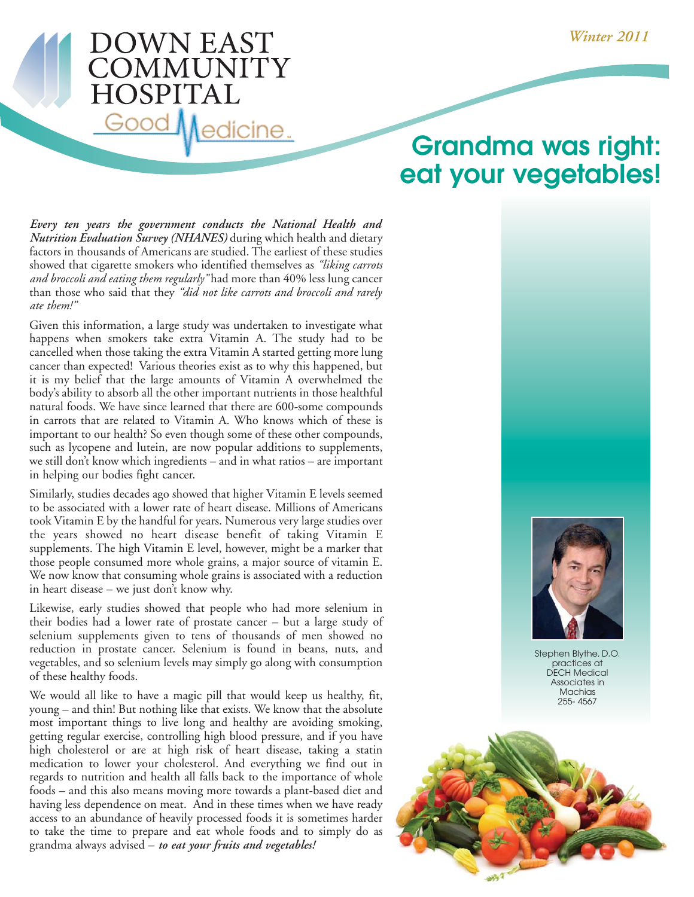## **DOWN EAST** COMMUNITY **HOSPITAL** Good Medicine.

## **Grandma was right: eat your vegetables!**

*Every ten years the government conducts the National Health and Nutrition Evaluation Survey (NHANES)* during which health and dietary factors in thousands of Americans are studied. The earliest of these studies showed that cigarette smokers who identified themselves as *"liking carrots and broccoli and eating them regularly"* had more than 40% less lung cancer than those who said that they *"did not like carrots and broccoli and rarely ate them!"*

Given this information, a large study was undertaken to investigate what happens when smokers take extra Vitamin A. The study had to be cancelled when those taking the extra Vitamin A started getting more lung cancer than expected! Various theories exist as to why this happened, but it is my belief that the large amounts of Vitamin A overwhelmed the body's ability to absorb all the other important nutrients in those healthful natural foods. We have since learned that there are 600-some compounds in carrots that are related to Vitamin A. Who knows which of these is important to our health? So even though some of these other compounds, such as lycopene and lutein, are now popular additions to supplements, we still don't know which ingredients – and in what ratios – are important in helping our bodies fight cancer.

Similarly, studies decades ago showed that higher Vitamin E levels seemed to be associated with a lower rate of heart disease. Millions of Americans took Vitamin E by the handful for years. Numerous very large studies over the years showed no heart disease benefit of taking Vitamin E supplements. The high Vitamin E level, however, might be a marker that those people consumed more whole grains, a major source of vitamin E. We now know that consuming whole grains is associated with a reduction in heart disease – we just don't know why.

Likewise, early studies showed that people who had more selenium in their bodies had a lower rate of prostate cancer – but a large study of selenium supplements given to tens of thousands of men showed no reduction in prostate cancer. Selenium is found in beans, nuts, and vegetables, and so selenium levels may simply go along with consumption of these healthy foods.

We would all like to have a magic pill that would keep us healthy, fit, young – and thin! But nothing like that exists. We know that the absolute most important things to live long and healthy are avoiding smoking, getting regular exercise, controlling high blood pressure, and if you have high cholesterol or are at high risk of heart disease, taking a statin medication to lower your cholesterol. And everything we find out in regards to nutrition and health all falls back to the importance of whole foods – and this also means moving more towards a plant-based diet and having less dependence on meat. And in these times when we have ready access to an abundance of heavily processed foods it is sometimes harder to take the time to prepare and eat whole foods and to simply do as grandma always advised – *to eat your fruits and vegetables!*



Stephen Blythe, D.O. practices at DECH Medical Associates in **Machias** 255- 4567

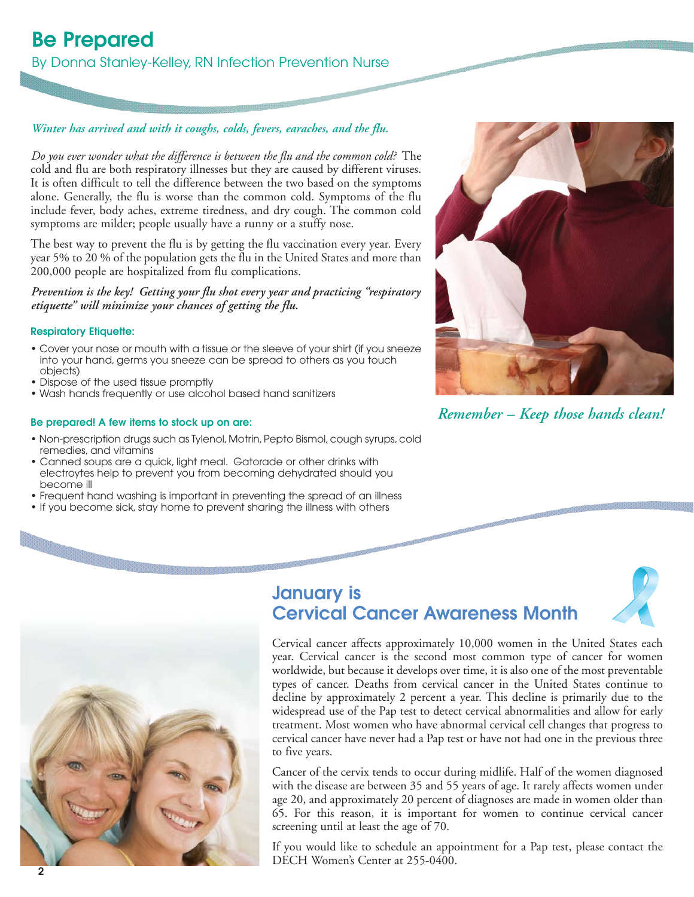## **Be Prepared**

By Donna Stanley-Kelley, RN Infection Prevention Nurse

#### *Winter has arrived and with it coughs, colds, fevers, earaches, and the flu.*

*Do you ever wonder what the difference is between the flu and the common cold?* The cold and flu are both respiratory illnesses but they are caused by different viruses. It is often difficult to tell the difference between the two based on the symptoms alone. Generally, the flu is worse than the common cold. Symptoms of the flu include fever, body aches, extreme tiredness, and dry cough. The common cold symptoms are milder; people usually have a runny or a stuffy nose.

The best way to prevent the flu is by getting the flu vaccination every year. Every year 5% to 20 % of the population gets the flu in the United States and more than 200,000 people are hospitalized from flu complications.

*Prevention is the key! Getting your flu shot every year and practicing "respiratory etiquette" will minimize your chances of getting the flu.*

#### **Respiratory Etiquette:**

- Cover your nose or mouth with a tissue or the sleeve of your shirt (if you sneeze into your hand, germs you sneeze can be spread to others as you touch objects)
- Dispose of the used tissue promptly
- Wash hands frequently or use alcohol based hand sanitizers

#### **Be prepared! A few items to stock up on are:**

- Non-prescription drugs such as Tylenol, Motrin, Pepto Bismol, cough syrups, cold remedies, and vitamins
- Canned soups are a quick, light meal. Gatorade or other drinks with electroytes help to prevent you from becoming dehydrated should you become ill
- Frequent hand washing is important in preventing the spread of an illness
- If you become sick, stay home to prevent sharing the illness with others



*Remember – Keep those hands clean!*



### **January is Cervical Cancer Awareness Month**



Cervical cancer affects approximately 10,000 women in the United States each year. Cervical cancer is the second most common type of cancer for women worldwide, but because it develops over time, it is also one of the most preventable types of cancer. Deaths from cervical cancer in the United States continue to decline by approximately 2 percent a year. This decline is primarily due to the widespread use of the Pap test to detect cervical abnormalities and allow for early treatment. Most women who have abnormal cervical cell changes that progress to cervical cancer have never had a Pap test or have not had one in the previous three to five years.

Cancer of the cervix tends to occur during midlife. Half of the women diagnosed with the disease are between 35 and 55 years of age. It rarely affects women under age 20, and approximately 20 percent of diagnoses are made in women older than 65. For this reason, it is important for women to continue cervical cancer screening until at least the age of 70.

If you would like to schedule an appointment for a Pap test, please contact the DECH Women's Center at 255-0400.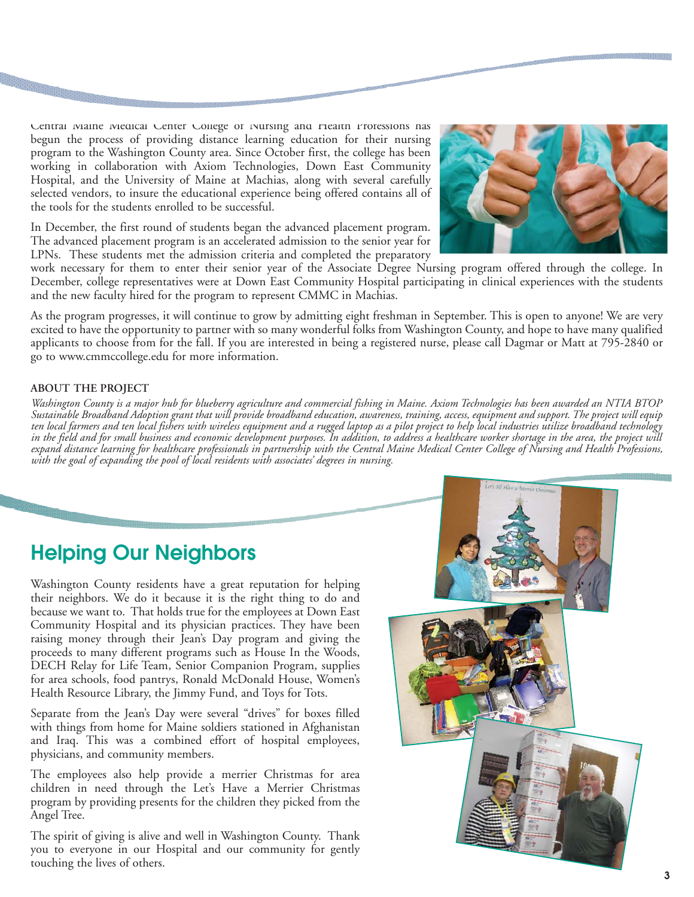Central Maine Medical Center College of Nursing and Health Professions has begun the process of providing distance learning education for their nursing program to the Washington County area. Since October first, the college has been working in collaboration with Axiom Technologies, Down East Community Hospital, and the University of Maine at Machias, along with several carefully selected vendors, to insure the educational experience being offered contains all of the tools for the students enrolled to be successful.

In December, the first round of students began the advanced placement program. The advanced placement program is an accelerated admission to the senior year for LPNs. These students met the admission criteria and completed the preparatory

work necessary for them to enter their senior year of the Associate Degree Nursing program offered through the college. In December, college representatives were at Down East Community Hospital participating in clinical experiences with the students and the new faculty hired for the program to represent CMMC in Machias.

As the program progresses, it will continue to grow by admitting eight freshman in September. This is open to anyone! We are very excited to have the opportunity to partner with so many wonderful folks from Washington County, and hope to have many qualified applicants to choose from for the fall. If you are interested in being a registered nurse, please call Dagmar or Matt at 795-2840 or go to www.cmmccollege.edu for more information.

#### **ABOUT THE PROJECT**

*Washington County is a major hub for blueberry agriculture and commercial fishing in Maine. Axiom Technologies has been awarded an NTIA BTOP Sustainable Broadband Adoption grant that will provide broadband education, awareness, training, access, equipment and support. The project will equip ten local farmers and ten local fishers with wireless equipment and a rugged laptop as a pilot project to help local industries utilize broadband technology in the field and for small business and economic development purposes. In addition, to address a healthcare worker shortage in the area, the project will expand distance learning for healthcare professionals in partnership with the Central Maine Medical Center College of Nursing and Health Professions,* with the goal of expanding the pool of local residents with associates' degrees in nursing.

### **Helping Our Neighbors**

Washington County residents have a great reputation for helping their neighbors. We do it because it is the right thing to do and because we want to. That holds true for the employees at Down East Community Hospital and its physician practices. They have been raising money through their Jean's Day program and giving the proceeds to many different programs such as House In the Woods, DECH Relay for Life Team, Senior Companion Program, supplies for area schools, food pantrys, Ronald McDonald House, Women's Health Resource Library, the Jimmy Fund, and Toys for Tots.

Separate from the Jean's Day were several "drives" for boxes filled with things from home for Maine soldiers stationed in Afghanistan and Iraq. This was a combined effort of hospital employees, physicians, and community members.

The employees also help provide a merrier Christmas for area children in need through the Let's Have a Merrier Christmas program by providing presents for the children they picked from the Angel Tree.

The spirit of giving is alive and well in Washington County. Thank you to everyone in our Hospital and our community for gently touching the lives of others.



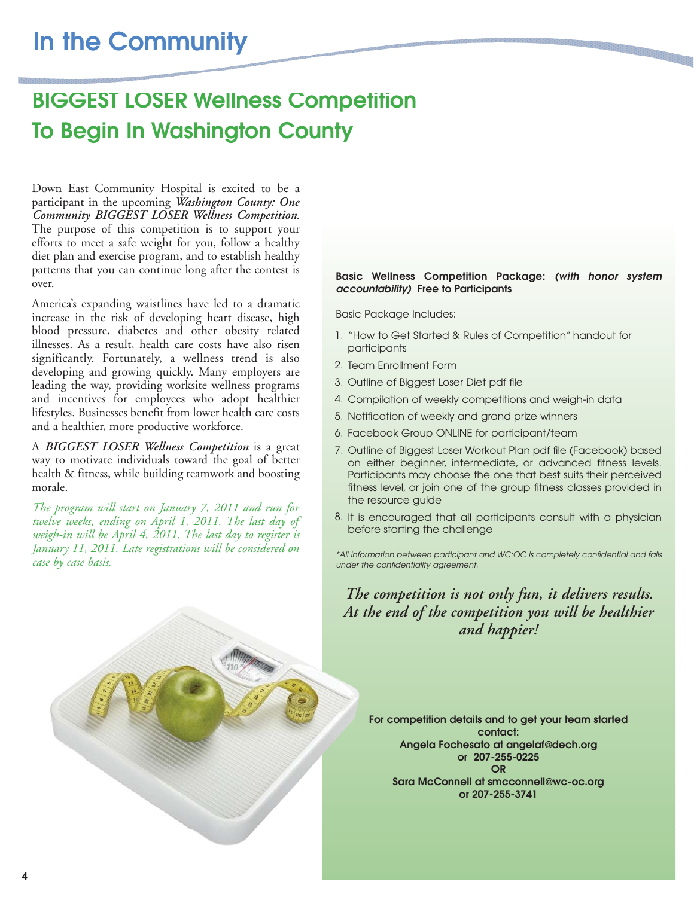## **BIGGEST LOSER Wellness Competition To Begin In Washington County**

Down East Community Hospital is excited to be a participant in the upcoming *Washington County: One Community BIGGEST LOSER Wellness Competition*. The purpose of this competition is to support your efforts to meet a safe weight for you, follow a healthy diet plan and exercise program, and to establish healthy patterns that you can continue long after the contest is over.

America's expanding waistlines have led to a dramatic increase in the risk of developing heart disease, high blood pressure, diabetes and other obesity related illnesses. As a result, health care costs have also risen significantly. Fortunately, a wellness trend is also developing and growing quickly. Many employers are leading the way, providing worksite wellness programs and incentives for employees who adopt healthier lifestyles. Businesses benefit from lower health care costs and a healthier, more productive workforce.

A *BIGGEST LOSER Wellness Competition* is a great way to motivate individuals toward the goal of better health & fitness, while building teamwork and boosting morale.

*The program will start on January 7, 2011 and run for twelve weeks, ending on April 1, 2011. The last day of weigh-in will be April 4, 2011. The last day to register is January 11, 2011. Late registrations will be considered on case by case basis.* 

#### **Basic Wellness Competition Package: (with honor system accountability) Free to Participants**

Basic Package Includes:

- 1. "How to Get Started & Rules of Competition" handout for participants
- 2. Team Enrollment Form
- 3. Outline of Biggest Loser Diet pdf file
- Compilation of weekly competitions and weigh-in data 4.
- 5. Notification of weekly and grand prize winners
- Facebook Group ONLINE for participant/team 6.
- 7. Outline of Biggest Loser Workout Plan pdf file (Facebook) based on either beginner, intermediate, or advanced fitness levels. Participants may choose the one that best suits their perceived fitness level, or join one of the group fitness classes provided in the resource guide
- 8. It is encouraged that all participants consult with a physician before starting the challenge

\*All information between participant and WC:OC is completely confidential and falls under the confidentiality agreement.

*The competition is not only fun, it delivers results. At the end of the competition you will be healthier and happier!*

**For competition details and to get your team started contact: Angela Fochesato at angelaf@dech.org or 207-255-0225 OR Sara McConnell at smcconnell@wc-oc.org or 207-255-3741**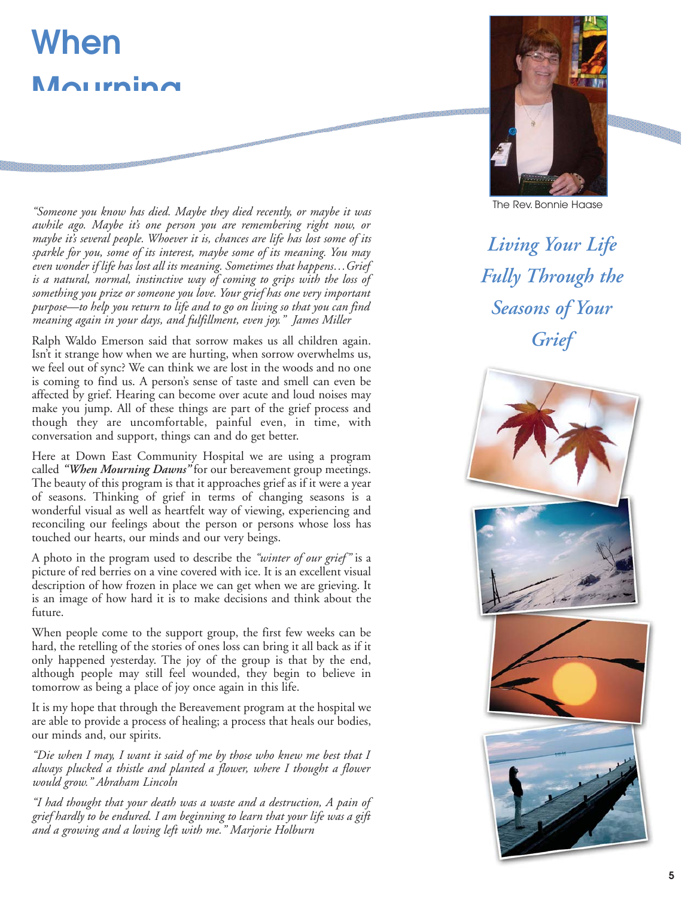# **When Mourning**

*"Someone you know has died. Maybe they died recently, or maybe it was awhile ago. Maybe it's one person you are remembering right now, or maybe it's several people. Whoever it is, chances are life has lost some of its sparkle for you, some of its interest, maybe some of its meaning. You may even wonder if life has lost all its meaning. Sometimes that happens…Grief is a natural, normal, instinctive way of coming to grips with the loss of something you prize or someone you love. Your grief has one very important purpose—to help you return to life and to go on living so that you can find meaning again in your days, and fulfillment, even joy." James Miller*

Ralph Waldo Emerson said that sorrow makes us all children again. Isn't it strange how when we are hurting, when sorrow overwhelms us, we feel out of sync? We can think we are lost in the woods and no one is coming to find us. A person's sense of taste and smell can even be affected by grief. Hearing can become over acute and loud noises may make you jump. All of these things are part of the grief process and though they are uncomfortable, painful even, in time, with conversation and support, things can and do get better.

Here at Down East Community Hospital we are using a program called *"When Mourning Dawns"* for our bereavement group meetings. The beauty of this program is that it approaches grief as if it were a year of seasons. Thinking of grief in terms of changing seasons is a wonderful visual as well as heartfelt way of viewing, experiencing and reconciling our feelings about the person or persons whose loss has touched our hearts, our minds and our very beings.

A photo in the program used to describe the *"winter of our grief"* is a picture of red berries on a vine covered with ice. It is an excellent visual description of how frozen in place we can get when we are grieving. It is an image of how hard it is to make decisions and think about the future.

When people come to the support group, the first few weeks can be hard, the retelling of the stories of ones loss can bring it all back as if it only happened yesterday. The joy of the group is that by the end, although people may still feel wounded, they begin to believe in tomorrow as being a place of joy once again in this life.

It is my hope that through the Bereavement program at the hospital we are able to provide a process of healing; a process that heals our bodies, our minds and, our spirits.

*"Die when I may, I want it said of me by those who knew me best that I always plucked a thistle and planted a flower, where I thought a flower would grow." Abraham Lincoln*

*"I had thought that your death was a waste and a destruction, A pain of grief hardly to be endured. I am beginning to learn that your life was a gift and a growing and a loving left with me." Marjorie Holburn*



The Rev. Bonnie Haase

*Living Your Life Fully Through the Seasons of Your Grief*

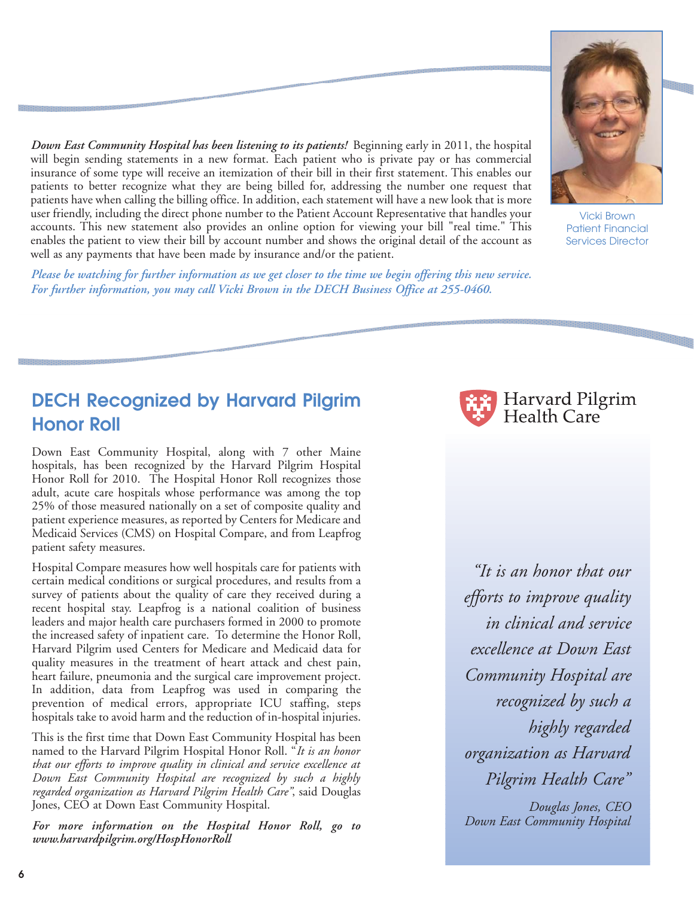*Down East Community Hospital has been listening to its patients!* Beginning early in 2011, the hospital will begin sending statements in a new format. Each patient who is private pay or has commercial insurance of some type will receive an itemization of their bill in their first statement. This enables our patients to better recognize what they are being billed for, addressing the number one request that patients have when calling the billing office. In addition, each statement will have a new look that is more user friendly, including the direct phone number to the Patient Account Representative that handles your accounts. This new statement also provides an online option for viewing your bill "real time." This enables the patient to view their bill by account number and shows the original detail of the account as well as any payments that have been made by insurance and/or the patient.

*Please be watching for further information as we get closer to the time we begin offering this new service. For further information, you may call Vicki Brown in the DECH Business Office at 255-0460.*



Down East Community Hospital, along with 7 other Maine hospitals, has been recognized by the Harvard Pilgrim Hospital Honor Roll for 2010. The Hospital Honor Roll recognizes those adult, acute care hospitals whose performance was among the top 25% of those measured nationally on a set of composite quality and patient experience measures, as reported by Centers for Medicare and Medicaid Services (CMS) on Hospital Compare, and from Leapfrog patient safety measures.

Hospital Compare measures how well hospitals care for patients with certain medical conditions or surgical procedures, and results from a survey of patients about the quality of care they received during a recent hospital stay. Leapfrog is a national coalition of business leaders and major health care purchasers formed in 2000 to promote the increased safety of inpatient care. To determine the Honor Roll, Harvard Pilgrim used Centers for Medicare and Medicaid data for quality measures in the treatment of heart attack and chest pain, heart failure, pneumonia and the surgical care improvement project. In addition, data from Leapfrog was used in comparing the prevention of medical errors, appropriate ICU staffing, steps hospitals take to avoid harm and the reduction of in-hospital injuries.

This is the first time that Down East Community Hospital has been named to the Harvard Pilgrim Hospital Honor Roll. "*It is an honor that our efforts to improve quality in clinical and service excellence at Down East Community Hospital are recognized by such a highly regarded organization as Harvard Pilgrim Health Care"*, said Douglas Jones, CEO at Down East Community Hospital.

*For more information on the Hospital Honor Roll, go to www.harvardpilgrim.org/HospHonorRoll*



*"It is an honor that our efforts to improve quality in clinical and service excellence at Down East Community Hospital are recognized by such a highly regarded organization as Harvard Pilgrim Health Care"*

*Douglas Jones, CEO Down East Community Hospital*



Patient Financial Services Director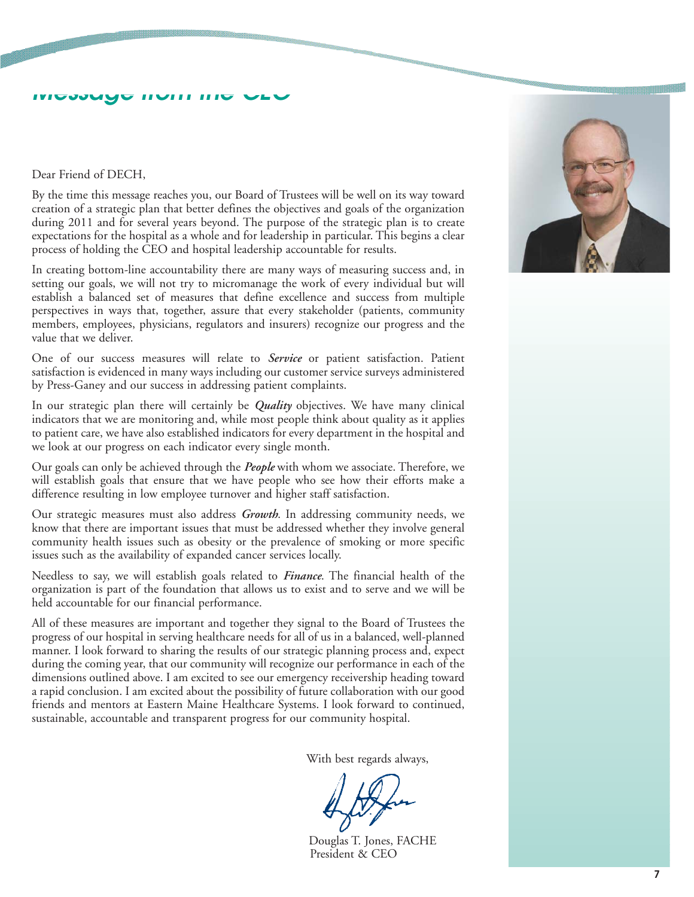## **Message from the CEO**

Dear Friend of DECH,

By the time this message reaches you, our Board of Trustees will be well on its way toward creation of a strategic plan that better defines the objectives and goals of the organization during 2011 and for several years beyond. The purpose of the strategic plan is to create expectations for the hospital as a whole and for leadership in particular. This begins a clear process of holding the CEO and hospital leadership accountable for results.

In creating bottom-line accountability there are many ways of measuring success and, in setting our goals, we will not try to micromanage the work of every individual but will establish a balanced set of measures that define excellence and success from multiple perspectives in ways that, together, assure that every stakeholder (patients, community members, employees, physicians, regulators and insurers) recognize our progress and the value that we deliver.

One of our success measures will relate to *Service* or patient satisfaction. Patient satisfaction is evidenced in many ways including our customer service surveys administered by Press-Ganey and our success in addressing patient complaints.

In our strategic plan there will certainly be *Quality* objectives. We have many clinical indicators that we are monitoring and, while most people think about quality as it applies to patient care, we have also established indicators for every department in the hospital and we look at our progress on each indicator every single month.

Our goals can only be achieved through the *People* with whom we associate. Therefore, we will establish goals that ensure that we have people who see how their efforts make a difference resulting in low employee turnover and higher staff satisfaction.

Our strategic measures must also address *Growth*. In addressing community needs, we know that there are important issues that must be addressed whether they involve general community health issues such as obesity or the prevalence of smoking or more specific issues such as the availability of expanded cancer services locally.

Needless to say, we will establish goals related to *Finance*. The financial health of the organization is part of the foundation that allows us to exist and to serve and we will be held accountable for our financial performance.

All of these measures are important and together they signal to the Board of Trustees the progress of our hospital in serving healthcare needs for all of us in a balanced, well-planned manner. I look forward to sharing the results of our strategic planning process and, expect during the coming year, that our community will recognize our performance in each of the dimensions outlined above. I am excited to see our emergency receivership heading toward a rapid conclusion. I am excited about the possibility of future collaboration with our good friends and mentors at Eastern Maine Healthcare Systems. I look forward to continued, sustainable, accountable and transparent progress for our community hospital.

With best regards always,